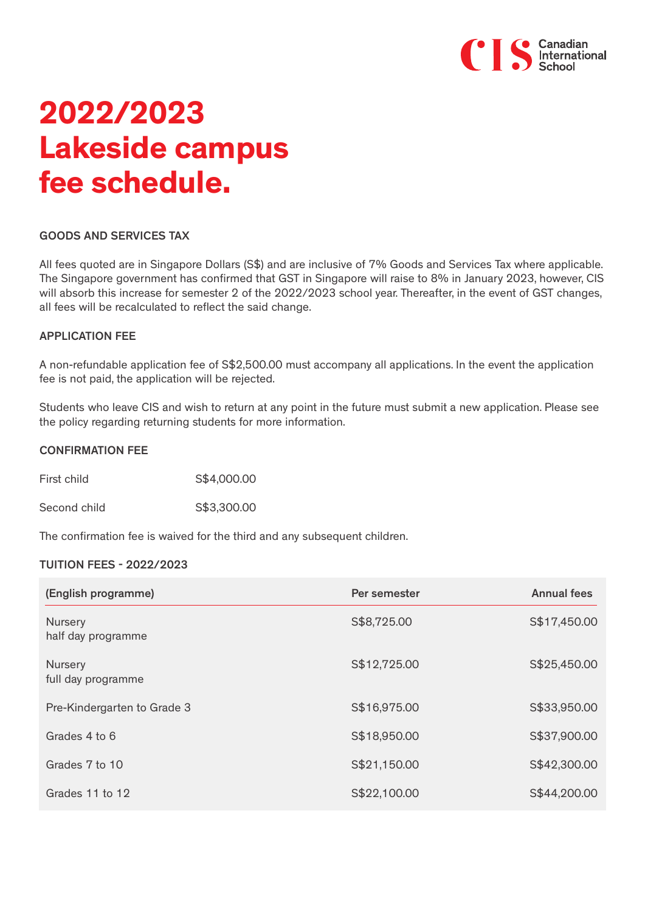

# **2022/2023 Lakeside campus fee schedule.**

#### GOODS AND SERVICES TAX

All fees quoted are in Singapore Dollars (S\$) and are inclusive of 7% Goods and Services Tax where applicable. The Singapore government has confirmed that GST in Singapore will raise to 8% in January 2023, however, CIS will absorb this increase for semester 2 of the 2022/2023 school year. Thereafter, in the event of GST changes, all fees will be recalculated to reflect the said change.

#### APPLICATION FEE

A non-refundable application fee of S\$2,500.00 must accompany all applications. In the event the application fee is not paid, the application will be rejected.

Students who leave CIS and wish to return at any point in the future must submit a new application. Please see the policy regarding returning students for more information.

#### CONFIRMATION FEE

First child S\$4,000.00

Second child 653,300.00

The confirmation fee is waived for the third and any subsequent children.

#### TUITION FEES - 2022/2023

| (English programme)                  | Per semester | <b>Annual fees</b> |
|--------------------------------------|--------------|--------------------|
| <b>Nursery</b><br>half day programme | S\$8,725.00  | S\$17,450.00       |
| Nursery<br>full day programme        | S\$12,725.00 | S\$25,450.00       |
| Pre-Kindergarten to Grade 3          | S\$16,975.00 | S\$33,950.00       |
| Grades 4 to 6                        | S\$18,950.00 | S\$37,900.00       |
| Grades 7 to 10                       | S\$21,150.00 | S\$42,300.00       |
| Grades 11 to 12                      | S\$22,100.00 | S\$44,200.00       |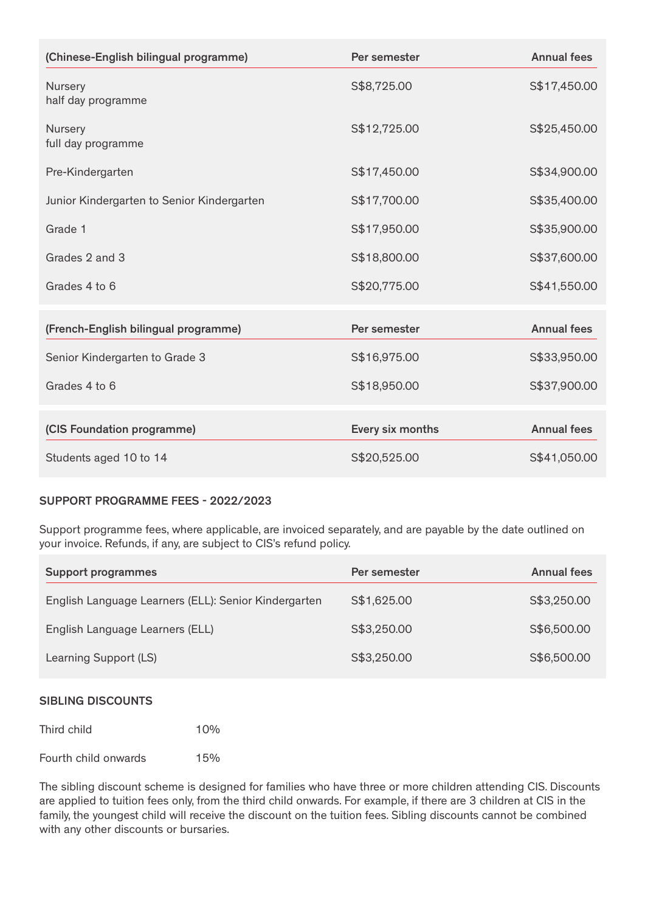| (Chinese-English bilingual programme)      | Per semester     | <b>Annual fees</b> |
|--------------------------------------------|------------------|--------------------|
| Nursery<br>half day programme              | S\$8,725.00      | S\$17,450.00       |
| Nursery<br>full day programme              | S\$12,725.00     | S\$25,450.00       |
| Pre-Kindergarten                           | S\$17,450.00     | S\$34,900.00       |
| Junior Kindergarten to Senior Kindergarten | S\$17,700.00     | S\$35,400.00       |
| Grade 1                                    | S\$17,950.00     | S\$35,900.00       |
| Grades 2 and 3                             | S\$18,800.00     | S\$37,600.00       |
| Grades 4 to 6                              | S\$20,775.00     | S\$41,550.00       |
| (French-English bilingual programme)       | Per semester     | <b>Annual fees</b> |
| Senior Kindergarten to Grade 3             | S\$16,975.00     | S\$33,950.00       |
| Grades 4 to 6                              | S\$18,950.00     | S\$37,900.00       |
| (CIS Foundation programme)                 | Every six months | <b>Annual fees</b> |
| Students aged 10 to 14                     | S\$20,525.00     | S\$41,050.00       |

### SUPPORT PROGRAMME FEES - 2022/2023

Support programme fees, where applicable, are invoiced separately, and are payable by the date outlined on your invoice. Refunds, if any, are subject to CIS's refund policy.

| <b>Support programmes</b>                            | Per semester | <b>Annual fees</b> |
|------------------------------------------------------|--------------|--------------------|
| English Language Learners (ELL): Senior Kindergarten | S\$1,625.00  | S\$3,250.00        |
| English Language Learners (ELL)                      | S\$3,250.00  | S\$6,500.00        |
| Learning Support (LS)                                | S\$3,250.00  | S\$6,500.00        |

#### SIBLING DISCOUNTS

| Third child | 10% |
|-------------|-----|
|             |     |

Fourth child onwards 15%

The sibling discount scheme is designed for families who have three or more children attending CIS. Discounts are applied to tuition fees only, from the third child onwards. For example, if there are 3 children at CIS in the family, the youngest child will receive the discount on the tuition fees. Sibling discounts cannot be combined with any other discounts or bursaries.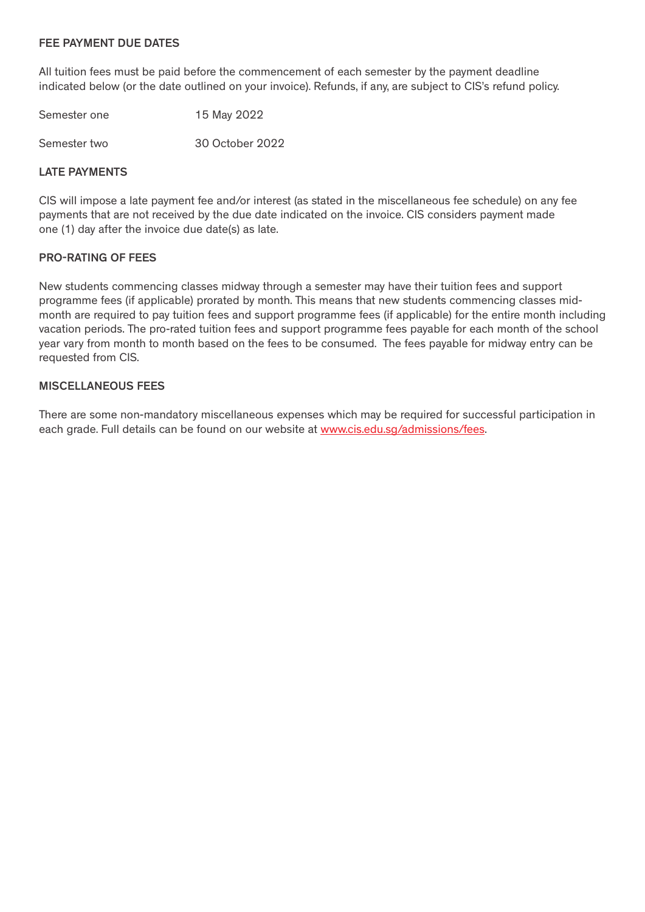#### FEE PAYMENT DUE DATES

All tuition fees must be paid before the commencement of each semester by the payment deadline indicated below (or the date outlined on your invoice). Refunds, if any, are subject to CIS's refund policy.

| Semester one | 15 May 2022     |
|--------------|-----------------|
| Semester two | 30 October 2022 |

#### LATE PAYMENTS

CIS will impose a late payment fee and/or interest (as stated in the miscellaneous fee schedule) on any fee payments that are not received by the due date indicated on the invoice. CIS considers payment made one (1) day after the invoice due date(s) as late.

#### PRO-RATING OF FEES

New students commencing classes midway through a semester may have their tuition fees and support programme fees (if applicable) prorated by month. This means that new students commencing classes midmonth are required to pay tuition fees and support programme fees (if applicable) for the entire month including vacation periods. The pro-rated tuition fees and support programme fees payable for each month of the school year vary from month to month based on the fees to be consumed. The fees payable for midway entry can be requested from CIS.

#### MISCELLANEOUS FEES

There are some non-mandatory miscellaneous expenses which may be required for successful participation in each grade. Full details can be found on our website at www.cis.edu.sg/admissions/fees.